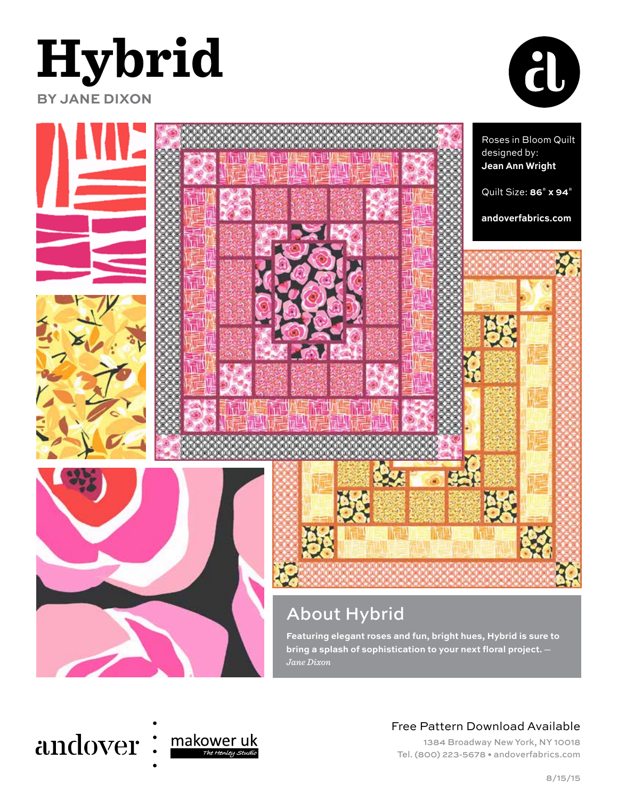





#### andover makower uk The Henley Studi

## Free Pattern Download Available

1384 Broadway New York, NY 10018 Tel. (800) 223-5678 • andoverfabrics.com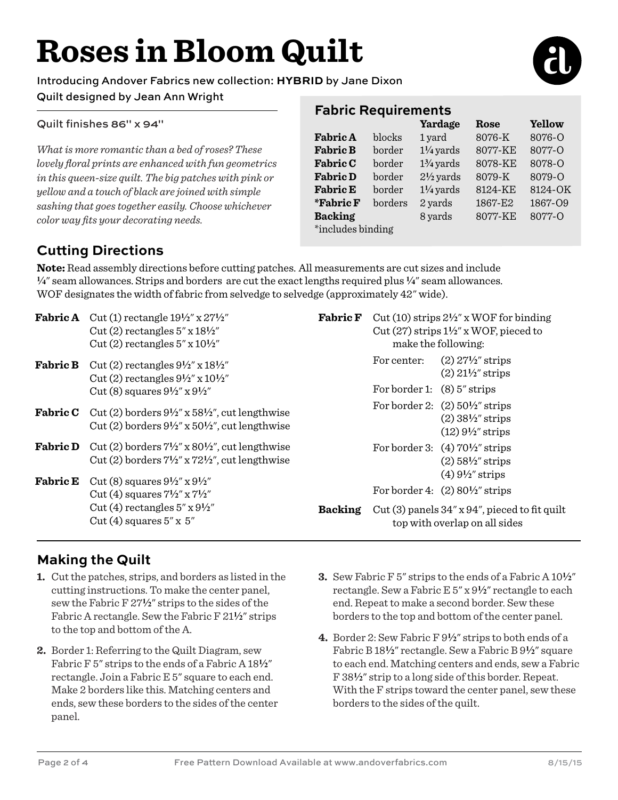# **Roses in Bloom Quilt**

Introducing Andover Fabrics new collection: **HYBRID** by Jane Dixon

### Quilt designed by Jean Ann Wright

Quilt finishes 86" x 94"

*What is more romantic than a bed of roses? These lovely floral prints are enhanced with fun geometrics in this queen-size quilt. The big patches with pink or yellow and a touch of black are joined with simple sashing that goes together easily. Choose whichever color way fits your decorating needs.* 

## **Fabric Requirements**

|                   |         | Yardage              | Rose    | Yellow  |
|-------------------|---------|----------------------|---------|---------|
| <b>Fabric A</b>   | blocks  | 1 yard               | 8076-K  | 8076-Q  |
| <b>Fabric B</b>   | border  | $1\frac{1}{4}$ yards | 8077-KE | 8077-O  |
| <b>Fabric C</b>   | border  | $1\frac{3}{4}$ yards | 8078-KE | 8078-O  |
| <b>Fabric D</b>   | border  | $2\frac{1}{2}$ yards | 8079-K  | 8079-O  |
| <b>Fabric E</b>   | border  | $1\frac{1}{4}$ yards | 8124-KE | 8124-OK |
| <i>*</i> Fabric F | borders | 2 yards              | 1867-E2 | 1867-09 |
| <b>Backing</b>    |         | 8 yards              | 8077-KE | 8077-O  |
| *includes binding |         |                      |         |         |

# **Cutting Directions**

**Note:** Read assembly directions before cutting patches. All measurements are cut sizes and include **4**" seam allowances. Strips and borders are cut the exact lengths required plus **4**" seam allowances. WOF designates the width of fabric from selvedge to selvedge (approximately 42" wide).

| <b>Fabric A</b> | Cut (1) rectangle $19\frac{1}{2}$ " x $27\frac{1}{2}$ "<br>Cut (2) rectangles $5'' \times 18^{1/2}$<br>Cut (2) rectangles $5'' \times 10^{1/2''}$            | <b>Fabric F</b> | Cut (10) strips $2\frac{1}{2}$ " x WOF for binding<br>Cut (27) strips $1\frac{1}{2}$ x WOF, pieced to<br>make the following: |                                                                                                                                  |
|-----------------|--------------------------------------------------------------------------------------------------------------------------------------------------------------|-----------------|------------------------------------------------------------------------------------------------------------------------------|----------------------------------------------------------------------------------------------------------------------------------|
| <b>Fabric B</b> | Cut (2) rectangles $9\frac{1}{2}$ " x $18\frac{1}{2}$ "<br>Cut (2) rectangles $9\frac{1}{2}$ " x $10\frac{1}{2}$ "                                           |                 | For center:                                                                                                                  | $(2)$ 27 <sup>1</sup> / <sub>2</sub> " strips<br>$(2)$ 21 <sup>1/2"</sup> strips                                                 |
|                 | Cut (8) squares $9\frac{1}{2}$ " x $9\frac{1}{2}$ "                                                                                                          |                 | For border 1: $(8)$ 5" strips                                                                                                |                                                                                                                                  |
|                 | <b>Fabric C</b> Cut (2) borders $9\frac{1}{2}$ " x $58\frac{1}{2}$ ", cut lengthwise<br>Cut (2) borders $9\frac{1}{2}$ " x $50\frac{1}{2}$ ", cut lengthwise |                 |                                                                                                                              | For border 2: $(2)$ 50 <sup>1</sup> / <sub>2</sub> " strips<br>$(2)$ 38 <sup>1/2"</sup> strips<br>$(12) 9\frac{1}{2}$ strips     |
| <b>Fabric D</b> | Cut (2) borders $7\frac{1}{2}$ " x 80 $\frac{1}{2}$ ", cut lengthwise<br>Cut (2) borders $7\frac{1}{2}$ " x $72\frac{1}{2}$ ", cut lengthwise                |                 |                                                                                                                              | For border 3: $(4)$ 70 <sup>1</sup> / <sub>2</sub> " strips<br>$(2)$ 58½" strips<br>$(4)$ 9 <sup>1</sup> / <sub>2</sub> " strips |
| <b>Fabric E</b> | Cut (8) squares $9\frac{1}{2}$ " x $9\frac{1}{2}$ "<br>Cut (4) squares $7\frac{1}{2}$ x $7\frac{1}{2}$                                                       |                 |                                                                                                                              | For border 4: $(2)$ 80 <sup>1</sup> / <sub>2</sub> " strips                                                                      |
|                 | Cut (4) rectangles $5''$ x $9\frac{1}{2}''$<br>Cut (4) squares $5'' \times 5''$                                                                              | <b>Backing</b>  | Cut (3) panels $34''$ x $94''$ , pieced to fit quilt<br>top with overlap on all sides                                        |                                                                                                                                  |

## **Making the Quilt**

- **1.** Cut the patches, strips, and borders as listed in the cutting instructions. To make the center panel, sew the Fabric F 27**2**" strips to the sides of the Fabric A rectangle. Sew the Fabric F 21<sup>1</sup>/<sub>2</sub>" strips to the top and bottom of the A.
- **2.** Border 1: Referring to the Quilt Diagram, sew Fabric F 5" strips to the ends of a Fabric A 18<sup>1</sup>/<sub>2</sub>" rectangle. Join a Fabric E 5" square to each end. Make 2 borders like this. Matching centers and ends, sew these borders to the sides of the center panel.
- **3.** Sew Fabric F 5" strips to the ends of a Fabric A 10**2**" rectangle. Sew a Fabric E 5" x 9**2**" rectangle to each end. Repeat to make a second border. Sew these borders to the top and bottom of the center panel.
- **4.** Border 2: Sew Fabric F 9**2**" strips to both ends of a Fabric B 18**2**" rectangle. Sew a Fabric B 9**2**" square to each end. Matching centers and ends, sew a Fabric F 38**2**" strip to a long side of this border. Repeat. With the F strips toward the center panel, sew these borders to the sides of the quilt.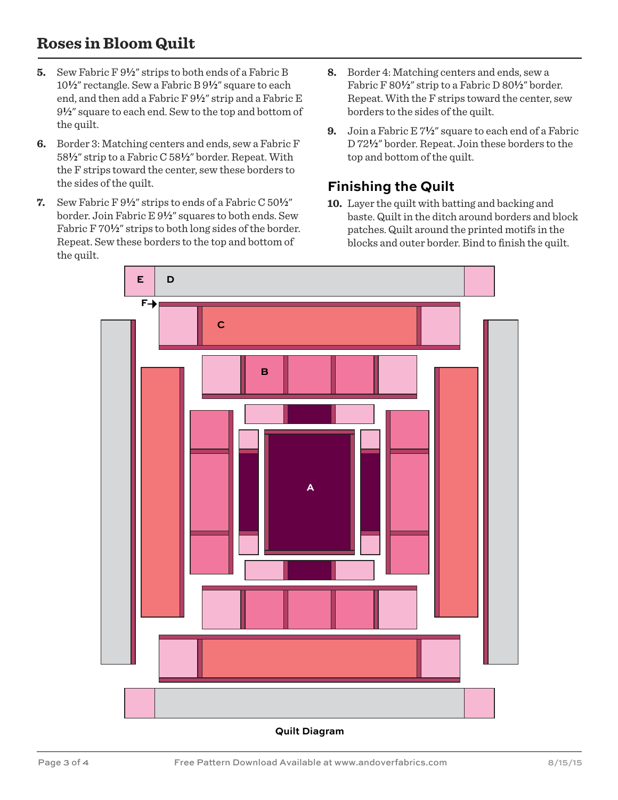# **Roses in Bloom Quilt**

- **5.** Sew Fabric F 9**2**" strips to both ends of a Fabric B 10**2**" rectangle. Sew a Fabric B 9**2**" square to each end, and then add a Fabric F  $9\frac{1}{2}$ " strip and a Fabric E 9**2**" square to each end. Sew to the top and bottom of the quilt.
- **6.** Border 3: Matching centers and ends, sew a Fabric F 58**2**" strip to a Fabric C 58**2**" border. Repeat. With the F strips toward the center, sew these borders to the sides of the quilt.
- **7.** Sew Fabric F 9**2**" strips to ends of a Fabric C 50**2**" border. Join Fabric E 9**2**" squares to both ends. Sew Fabric F  $70\frac{1}{2}$ " strips to both long sides of the border. Repeat. Sew these borders to the top and bottom of the quilt.
- **8.** Border 4: Matching centers and ends, sew a Fabric F 80**2**" strip to a Fabric D 80**2**" border. Repeat. With the F strips toward the center, sew borders to the sides of the quilt.
- **9.** Join a Fabric E 7**2**" square to each end of a Fabric D 72**2**" border. Repeat. Join these borders to the top and bottom of the quilt.

## **Finishing the Quilt**

**10.** Layer the quilt with batting and backing and baste. Quilt in the ditch around borders and block patches. Quilt around the printed motifs in the blocks and outer border. Bind to finish the quilt.



**Quilt Diagram**